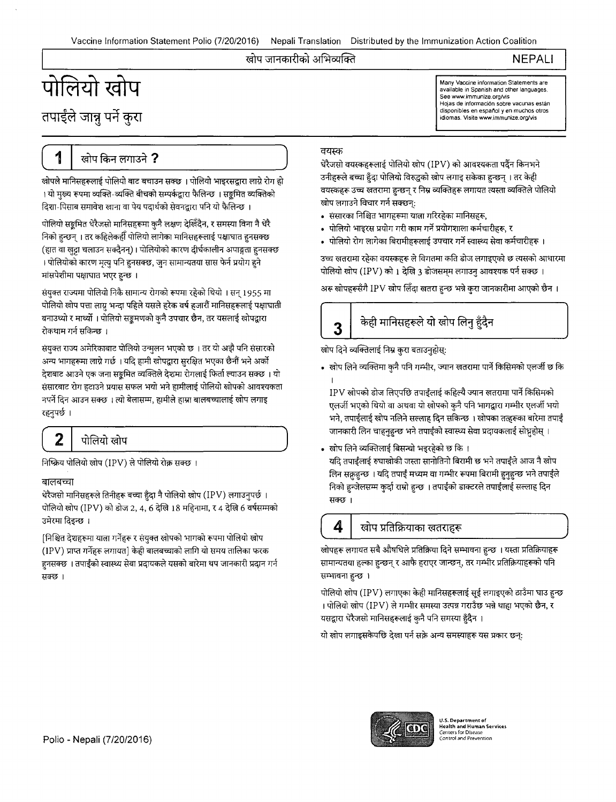#### खोप जानकारीको अभिव्यक्ति

**NEPALI** 

Many Vaccine information Statements are available in Spanish and other languages. See www.immunize.org/vis

Hojas de información sobre vacunas están disponibles en espanol y en muchos otros idiomas. Visite www.immunize.org/vis

# पोलियो खोप तपाईले जान्नू पर्ने कुरा

# (\_\_\_1\_\_\_\_\_\_.\_\_\_@1l\_fcfi.f\_~\_?\_\_\_\_\_)

खोपले मानिसहरूलाई पोलियो बाट बचाउन सक्छ । पोलियो भाइरसद्वारा लाग्ने रोग हो । यो मुख्य रूपमा व्यक्ति-व्यक्ति बीचको सम्पर्कद्वारा फैलिन्छ । सङ्कमित व्यक्तिको दिशा-पिसाब समावेश खाना वा पेय पदार्थको सेवनद्वारा पनि यो फैलिन्छ ।

पोलियो सङ्गमित धेरैजसो मानिसहरूमा कुनै लक्षण देखिँदैन, र समस्या विना नै धेरै निको हुन्छन् । तर कहिलेकहीँ पोलियो लागेका मानिसहरूलाई पक्षाघात हनसक्छ (हात वा खुट्टा चलाउन सक्दैनन्)। पोलियोको कारण दीर्घकालीन अपाङ्गता हुनसक्छ । पोलियोको कारण मृत्यु पनि हुनसक्छ, जुन सामान्यतया सास फेर्न प्रयोग हुने मांसपेशीमा पक्षाघात भएर हुन्छ ।

संयुक्त राज्यमा पोलियो निकै सामान्य रोगको रूपमा रहेको थियो । सन् 1955 मा पोलियो खोप पत्ता लाग्नु भन्दा पहिले यसले हरेक वर्ष हजारौं मानिसहरूलाई पक्षाघाती बनाउथ्यो र मार्थ्यो । पोलियो सङ्कमणको कुनै उपचार छैन, तर यसलाई खोपद्वारा रोकथाम गर्न सकिन्छ ।

संयुक्त राज्य अमेरिकाबाट पोलियो उन्मुलन भएको छ । तर यो अझै पनि संसारको अन्य भागहरूमा लाग्ने गर्छ । यदि हामी खोपद्वारा सुरक्षित भएका छैनौं भने अर्को गहरूमा लाग्न गछ । याद हामा खापद्वारा सुराक्षत भएका छना भन अका<br>आउने एक जना सङ्क्रमित व्यक्तिले देशमा रोगलाई फिर्ता ल्याउन सक्छ । यो<br>ट रोग हटाउने प्रयास सफल भयो भने हामीलाई पोलियो खोपको आवश्यकता नपर्ने दिन आउन सक्छ । त्यो बेलासम्म, हामीले हाम्रा बालबच्चालाई खोप लगाइ<br>रहनुपर्छ ।

## $\begin{pmatrix} 2 & \text{m} \end{pmatrix}$ पोलियो खोप

निष्क्रिय पोलियो खोप (IPV) ले पोलियो रोक्न सक्छ ।

#### बालबच्चा

बालबच्चा<br>धेरैजसो मानिसहरूले तिनीहरू बच्चा हुँदा नै पोलियो खोप (IPV) लगाउनुपर्छ ।<br>पोलियो खोप (IPV) को डोज 2, 4, 6 देखि 18 महिनामा, र 4 देखि 6 वर्षसम्मको<br>- रेल्क रिक्क : पोलियो खोप (IPV) को डोज 2, 4, 6 देखि 18 महिनामा, र 4 देखि 6 वर्षसम्मको<br>उमेरमा दिइन्छ ।

[निश्चित देशहरूमा याला गर्नेहरू र संयुक्त खोपको भागको रूपमा पोलियो खोप (IPV) प्राप्त गर्नेहरू लगायत] केही बालबच्चाको लागि यो समय तालिका फरक (IPV) प्राप्त गर्नहरू लगायत] केही बालबच्चाको लागि यो समय तालिका फरक<br>हुनसक्छ । तपाईंको स्वास्थ्य सेवा प्रदायकले यसको बारेमा थप जानकारी प्रदान गर्न हुनसक्छ<br>सक्छ ।

#### वयस्क

धेरैजसो वयस्कहरूलाई पोलियो खोप (IPV) को आवश्यकता पर्दैन किनभने उनीहरूले बच्चा हुँदा पोलियो विरुद्धको खोप लगाइ सकेका हुन्छन् । तर केही वयस्कहरू उच्च खतरामा हन्छन् र निम्न व्यक्तिहरू लगायत त्यस्ता व्यक्तिले पोलियो खोप लगाउने विचार गर्न सक्छन्:

- संसारका निश्चित भागहरूमा यात्ना गरिरहेका मानिसहरू,
- पोलियो भाइरस प्रयोग गरी काम गर्ने प्रयोगशाला कर्मचारीहरू, र
- पोलियो रोग लागेका बिरामीहरूलाई उपचार गर्ने स्वास्थ्य सेवा कर्मचारीहरू ।

उच्च खतरामा रहेका वयस्कहरू ले विगतमा कति डोज लगाइएको छ त्यसको आधारमा पोलियो खोप (IPV) को 1 देखि 3 डोजसम्म लगाउनु आवश्यक पर्न सक्छ ।

अरू खोपहरूसँगै IPV खोप लिँदा खतरा हुन्छ भन्ने कुरा जानकारीमा आएको छैन ।

खोप दिने व्यक्तिलाई निम्न कुरा बताउनुहोस्:

 $\bf{3}^{\parallel}$  केही मानिसहरूले यो खोप लिनु हुँदैन

• खोप लिने व्यक्तिमा कुनै पनि गम्भीर, ज्यान खतरामा पार्ने किसिमको एलर्जी छ कि

I  $IPV$  खोपको डोज लिएपछि तपाईलाई कहिल्यै ज्यान खतरामा पार्ने किसिमको एलर्जी भएको थियो वा अथवा यो खोपको कुनै पनि भागद्वारा गम्भीर एलर्जी भयो 'भने, तपाईंलाई खोप नलिने सल्लाह दिन सकिन्छ । खोपका तत्हरूका बारेमा तपाईं जानकारी लिन चाहनुहुन्छ भने तपाईंको स्वास्थ्य सेवा प्रदायकलाई सोध्नुहोस् ।

<u>स्वोप लिने व्यक्तिलाई बिसन्चो भइरहे</u>को छ कि । यदि तपाईंलाई रुघाखोकी जस्ता सानोतिनो बिरामी छ भने तपाईंले आज नै खोप लिन सक़हन्छ । यदि तपाईं मध्यम वा गम्भीर रूपमा बिरामी हुनुहुन्छ भने तपाईले निको हुन्जेलसम्म कुर्दा राम्रो हुन्छ । तपाईंको डाक्टरले तपाईंलाई सल्लाह दिन सक्छ ।

#### $\vert 4 \vert$  खोप प्रतिक्रियाका खतराहरू

खोपहरू लगायत सबै औषधिले प्रतिक्रिया दिने सम्भावना हन्छ । यस्ता प्रतिक्रियाहरू सामान्यतया हल्का हन्छन् र आफै हराएर जान्छन्, तर गम्भीर प्रतिक्रियाहरूको पनि सम्भावना हुन्छ ।

पोलियो खोप (IPV) लगाएका केही मानिसहरूलाई सूई लगाइएको ठाउँमा घाउ हुन्छ । पोलियो खोप (IPV) ले गम्भीर समस्या उत्पन्न गराउँछ भन्ने थाहा भएको छैन, र यसद्वारा धेरैजसो मानिसहरूलाई कुनै पनि समस्या हुँदैन ।

यो खोप लगाइसकेपछि देखा पर्न सक्ने अन्य समस्याहरू यस प्रकार छन्:



U.S. Department of<br>Health and Human Services<br>Centers for Disease<br>Control and Prevention